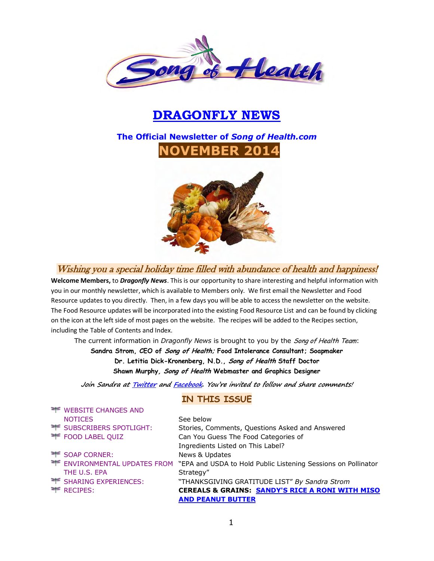

# **DRAGONFLY NEWS**

# **The Official Newsletter of** *Song of Health.com* **NOVEMBER 2014**



Wishing you a special holiday time filled with abundance of health and happiness!

**Welcome Members,** to *Dragonfly News*. This is our opportunity to share interesting and helpful information with you in our monthly newsletter, which is available to Members only. We first email the Newsletter and Food Resource updates to you directly. Then, in a few days you will be able to access the newsletter on the website. The Food Resource updates will be incorporated into the existing Food Resource List and can be found by clicking on the icon at the left side of most pages on the website. The recipes will be added to the Recipes section, including the Table of Contents and Index.

The current information in *Dragonfly News* is brought to you by the Song of Health Team:

**Sandra Strom, CEO of Song of Health; Food Intolerance Consultant; Soapmaker Dr. Letitia Dick-Kronenberg, N.D., Song of Health Staff Doctor Shawn Murphy, Song of Health Webmaster and Graphics Designer** 

**Join Sandra a[t Twitter](https://twitter.com/songofhealth) an[d Facebook](http://facebook.com/home.php?ref=home#/home.php?filter=pp). You're invited to follow and share comments!**

#### **IN THIS ISSUE**

| <b>EXAMPLE CHANGES AND</b>    |                                                               |
|-------------------------------|---------------------------------------------------------------|
| <b>NOTICES</b>                | See below                                                     |
| TE SUBSCRIBERS SPOTLIGHT:     | Stories, Comments, Questions Asked and Answered               |
| <b>FOOD LABEL QUIZ</b>        | Can You Guess The Food Categories of                          |
|                               | Ingredients Listed on This Label?                             |
| SOAP CORNER:                  | News & Updates                                                |
| TE ENVIRONMENTAL UPDATES FROM | "EPA and USDA to Hold Public Listening Sessions on Pollinator |
| THE U.S. EPA                  | Strategy"                                                     |
| TE SHARING EXPERIENCES:       | "THANKSGIVING GRATITUDE LIST" By Sandra Strom                 |
| $\equiv$ RECIPES:             | <b>CEREALS &amp; GRAINS: SANDY'S RICE A RONI WITH MISO</b>    |
|                               | <b>AND PEANUT BUTTER</b>                                      |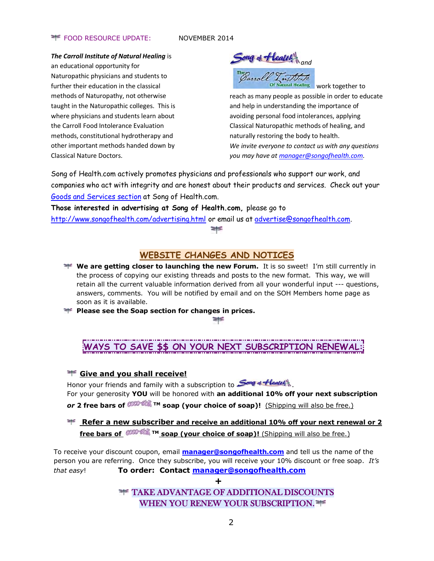#### **FOOD RESOURCE UPDATE:** NOVEMBER 2014

#### *The Carroll Institute of Natural Healing* is

an educational opportunity for Naturopathic physicians and students to further their education in the classical methods of Naturopathy, not otherwise taught in the Naturopathic colleges. This is where physicians and students learn about the Carroll Food Intolerance Evaluation methods, constitutional hydrotherapy and other important methods handed down by Classical Nature Doctors.

Song of **Health** 

 work together to reach as many people as possible in order to educate and help in understanding the importance of avoiding personal food intolerances, applying

naturally restoring the body to health. *We invite everyone to contact us with any questions you may have a[t manager@songofhealth.com.](mailto:manager@songofhealth.com)* 

Classical Naturopathic methods of healing, and

Song of Health.com actively promotes physicians and professionals who support our work, and companies who act with integrity and are honest about their products and services. Check out your [Goods and Services section](http://www.songofhealth.com/goods.html) at Song of Health.com.

**Those interested in advertising at Song of Health.com,** please go to <http://www.songofhealth.com/advertising.html>or email us at [advertise@songofhealth.com.](mailto:advertise@songofhealth.com)

≢

## **WEBSITE CHANGES AND NOTICES**

**We are getting closer to launching the new Forum.** It is so sweet! I'm still currently in the process of copying our existing threads and posts to the new format. This way, we will retain all the current valuable information derived from all your wonderful input --- questions, answers, comments. You will be notified by email and on the SOH Members home page as soon as it is available.

**Please see the Soap section for changes in prices.** 

# **WAYS TO SAVE \$\$ ON YOUR NEXT SUBSCRIPTION RENEWAL:**

#### **THE Give and you shall receive!**

Honor your friends and family with a subscription to **Song & Heatel** 

For your generosity **YOU** will be honored with **an additional 10% off your next subscription**  *or* **2 free bars of TM soap (your choice of soap)!** (Shipping will also be free.)

## **Refer a new subscriber and receive an additional 10% off your next renewal or 2 free bars of <sup>COCO-S</sup>M** <sup>TM</sup> soap (your choice of soap)! (Shipping will also be free.)

To receive your discount coupon, email **[manager@songofhealth.com](mailto:manager@songofhealth.com)** and tell us the name of the person you are referring. Once they subscribe, you will receive your 10% discount or free soap. *It's that easy*! **To order: Contact [manager@songofhealth.com](mailto:manager@songofhealth.com)**

**+**

TAKE ADVANTAGE OF ADDITIONAL DISCOUNTS WHEN YOU RENEW YOUR SUBSCRIPTION.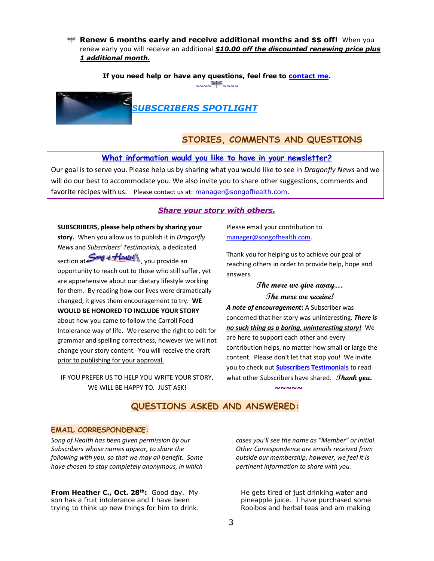**Renew 6 months early and receive additional months and \$\$ off!** When you renew early you will receive an additional *\$10.00 off the discounted renewing price plus 1 additional month.* 

**If you need help or have any questions, feel free to [contact me.](mailto:manager@songofhealth.com?subject=contact%20us)** 



## **STORIES, COMMENTS AND QUESTIONS**

#### **What information would you like to have in your newsletter?**

Our goal is to serve you. Please help us by sharing what you would like to see in *Dragonfly News* and we will do our best to accommodate you. We also invite you to share other suggestions, comments and favorite recipes with us. Please contact us at: [manager@songofhealth.com.](mailto:manager@songofhealth.com)

#### *Share your story with others.*

**SUBSCRIBERS, please help others by sharing your story.** When you allow us to publish it in *Dragonfly News* and *Subscribers' Testimonials,* a dedicated section at Song & Health , you provide an opportunity to reach out to those who still suffer, yet are apprehensive about our dietary lifestyle working for them. By reading how our lives were dramatically changed, it gives them encouragement to try. **WE WOULD BE HONORED TO INCLUDE YOUR STORY** about how you came to follow the Carroll Food Intolerance way of life. We reserve the right to edit for grammar and spelling correctness, however we will not change your story content. You will receive the draft prior to publishing for your approval.

IF YOU PREFER US TO HELP YOU WRITE YOUR STORY, WE WILL BE HAPPY TO. JUST ASK!

Please email your contribution to manager@songofhealth.com.

Thank you for helping us to achieve our goal of reaching others in order to provide help, hope and answers.

## **The more we give away… The more we receive!**

*A note of encouragement***:** A Subscriber was concerned that her story was uninteresting. *There is no such thing as a boring, uninteresting story!* We are here to support each other and every contribution helps, no matter how small or large the content. Please don't let that stop you! We invite you to check out **[Subscribers Testimonials](http://www.songofhealth.com/testimonials.html)** to read what other Subscribers have shared. **Thank you. ~~~~~**

## **QUESTIONS ASKED AND ANSWERED:**

#### **EMAIL CORRESPONDENCE:**

*Song of Health has been given permission by our Subscribers whose names appear, to share the following with you, so that we may all benefit. Some have chosen to stay completely anonymous, in which* 

**From Heather C., Oct. 28th:** Good day. My son has a fruit intolerance and I have been trying to think up new things for him to drink. *cases you'll see the name as "Member" or initial. Other Correspondence are emails received from outside our membership; however, we feel it is pertinent information to share with you.*

He gets tired of just drinking water and pineapple juice. I have purchased some Rooibos and herbal teas and am making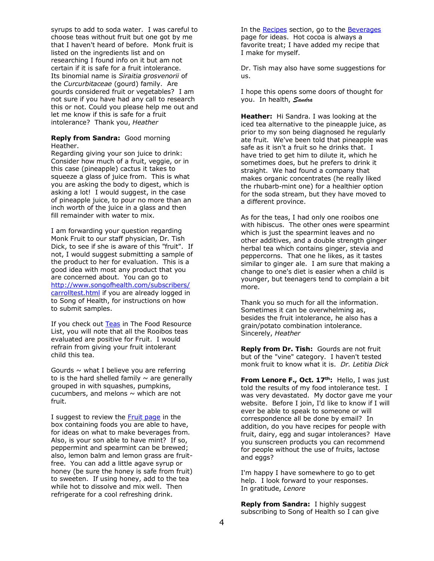syrups to add to soda water. I was careful to choose teas without fruit but one got by me that I haven't heard of before. Monk fruit is listed on the ingredients list and on researching I found info on it but am not certain if it is safe for a fruit intolerance. Its binomial name is *Siraitia grosvenorii* of the *Curcurbitaceae* (gourd) family. Are gourds considered fruit or vegetables? I am not sure if you have had any call to research this or not. Could you please help me out and let me know if this is safe for a fruit intolerance? Thank you, *Heather*

#### **Reply from Sandra:** Good morning Heather.

Regarding giving your son juice to drink: Consider how much of a fruit, veggie, or in this case (pineapple) cactus it takes to squeeze a glass of juice from. This is what you are asking the body to digest, which is asking a lot! I would suggest, in the case of pineapple juice, to pour no more than an inch worth of the juice in a glass and then fill remainder with water to mix.

I am forwarding your question regarding Monk Fruit to our staff physician, Dr. Tish Dick, to see if she is aware of this "fruit". If not. I would suggest submitting a sample of the product to her for evaluation. This is a good idea with most any product that you are concerned about. You can go to [http://www.songofhealth.com/subscribers/](http://www.songofhealth.com/subscribers/carrolltest.html) [carrolltest.html](http://www.songofhealth.com/subscribers/carrolltest.html) if you are already logged in to Song of Health, for instructions on how to submit samples.

If you check out [Teas](http://www.songofhealth.com/subscribers/foodresources/resource6.html#teas) in The Food Resource List, you will note that all the Rooibos teas evaluated are positive for Fruit. I would refrain from giving your fruit intolerant child this tea.

Gourds  $\sim$  what I believe you are referring to is the hard shelled family  $\sim$  are generally grouped in with squashes, pumpkins, cucumbers, and melons  $\sim$  which are not fruit.

I suggest to review the [Fruit page](http://www.songofhealth.com/subscribers/foodcategories/fruit.html) in the box containing foods you are able to have, for ideas on what to make beverages from. Also, is your son able to have mint? If so, peppermint and spearmint can be brewed; also, lemon balm and lemon grass are fruitfree. You can add a little agave syrup or honey (be sure the honey is safe from fruit) to sweeten. If using honey, add to the tea while hot to dissolve and mix well. Then refrigerate for a cool refreshing drink.

In the [Recipes](http://www.songofhealth.com/subscribers/recipes/recipes.html) section, go to the [Beverages](http://www.songofhealth.com/subscribers/recipes/drinks.html) page for ideas. Hot cocoa is always a favorite treat; I have added my recipe that I make for myself.

Dr. Tish may also have some suggestions for us.

I hope this opens some doors of thought for you. In health, *Sandra* 

**Heather:** Hi Sandra. I was looking at the iced tea alternative to the pineapple juice, as prior to my son being diagnosed he regularly ate fruit. We've been told that pineapple was safe as it isn't a fruit so he drinks that. I have tried to get him to dilute it, which he sometimes does, but he prefers to drink it straight. We had found a company that makes organic concentrates (he really liked the rhubarb-mint one) for a healthier option for the soda stream, but they have moved to a different province.

As for the teas, I had only one rooibos one with hibiscus. The other ones were spearmint which is just the spearmint leaves and no other additives, and a double strength ginger herbal tea which contains ginger, stevia and peppercorns. That one he likes, as it tastes similar to ginger ale. I am sure that making a change to one's diet is easier when a child is younger, but teenagers tend to complain a bit more.

Thank you so much for all the information. Sometimes it can be overwhelming as, besides the fruit intolerance, he also has a grain/potato combination intolerance. Sincerely, *Heather*

**Reply from Dr. Tish:** Gourds are not fruit but of the "vine" category. I haven't tested monk fruit to know what it is. *Dr. Letitia Dick* 

**From Lenore F., Oct. 17th:** Hello, I was just told the results of my food intolerance test. I was very devastated. My doctor gave me your website. Before I join, I'd like to know if I will ever be able to speak to someone or will correspondence all be done by email? In addition, do you have recipes for people with fruit, dairy, egg and sugar intolerances? Have you sunscreen products you can recommend for people without the use of fruits, lactose and eggs?

I'm happy I have somewhere to go to get help. I look forward to your responses. In gratitude, *Lenore*

**Reply from Sandra:** I highly suggest subscribing to Song of Health so I can give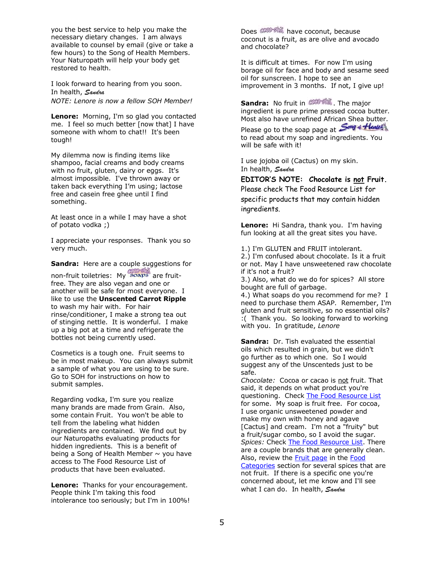you the best service to help you make the necessary dietary changes. I am always available to counsel by email (give or take a few hours) to the Song of Health Members. Your Naturopath will help your body get restored to health.

I look forward to hearing from you soon. In health, *Sandra NOTE: Lenore is now a fellow SOH Member!* 

**Lenore:** Morning, I'm so glad you contacted me. I feel so much better [now that] I have someone with whom to chat!! It's been tough!

My dilemma now is finding items like shampoo, facial creams and body creams with no fruit, gluten, dairy or eggs. It's almost impossible. I've thrown away or taken back everything I'm using; lactose free and casein free ghee until I find something.

At least once in a while I may have a shot of potato vodka ;)

I appreciate your responses. Thank you so very much.

**Sandra:** Here are a couple suggestions for non-fruit toiletries: My soaps are fruitfree. They are also vegan and one or another will be safe for most everyone. I like to use the **Unscented Carrot Ripple** to wash my hair with. For hair rinse/conditioner, I make a strong tea out of stinging nettle. It is wonderful. I make up a big pot at a time and refrigerate the bottles not being currently used.

Cosmetics is a tough one. Fruit seems to be in most makeup. You can always submit a sample of what you are using to be sure. Go to SOH for instructions on how to submit samples.

Regarding vodka, I'm sure you realize many brands are made from Grain. Also, some contain Fruit. You won't be able to tell from the labeling what hidden ingredients are contained. We find out by our Naturopaths evaluating products for hidden ingredients. This is a benefit of being a Song of Health Member  $\sim$  you have access to The Food Resource List of products that have been evaluated.

**Lenore:** Thanks for your encouragement. People think I'm taking this food intolerance too seriously; but I'm in 100%! Does **CONDERTING** have coconut, because coconut is a fruit, as are olive and avocado and chocolate?

It is difficult at times. For now I'm using borage oil for face and body and sesame seed oil for sunscreen. I hope to see an improvement in 3 months. If not, I give up!

**Sandra:** No fruit in **COOP SING**. The major ingredient is pure prime pressed cocoa butter. Most also have unrefined African Shea butter.

Please go to the soap page at Song of Health to read about my soap and ingredients. You will be safe with it!

I use jojoba oil (Cactus) on my skin. In health, *Sandra* 

**EDITOR'S NOTE: Chocolate is not Fruit.**  Please check The Food Resource List for specific products that may contain hidden ingredients.

**Lenore:** Hi Sandra, thank you. I'm having fun looking at all the great sites you have.

1.) I'm GLUTEN and FRUIT intolerant. 2.) I'm confused about chocolate. Is it a fruit

or not. May I have unsweetened raw chocolate if it's not a fruit?

3.) Also, what do we do for spices? All store bought are full of garbage.

4.) What soaps do you recommend for me? I need to purchase them ASAP. Remember, I'm gluten and fruit sensitive, so no essential oils? :( Thank you. So looking forward to working with you. In gratitude, *Lenore*

**Sandra:** Dr. Tish evaluated the essential oils which resulted in grain, but we didn't go further as to which one. So I would suggest any of the Unscenteds just to be safe.

*Chocolate:* Cocoa or cacao is not fruit. That said, it depends on what product you're questioning. Check [The Food Resource List](http://www.songofhealth.com/subscribers/foodresources/intro.html) for some. My soap is fruit free. For cocoa, I use organic unsweetened powder and make my own with honey and agave [Cactus] and cream. I'm not a "fruity" but a fruit/sugar combo, so I avoid the sugar. *Spices:* Check [The Food Resource List.](http://www.songofhealth.com/subscribers/foodresources/intro.html) There are a couple brands that are generally clean. Also, review the [Fruit page](http://www.songofhealth.com/subscribers/foodcategories/fruit.html) in the [Food](http://www.songofhealth.com/subscribers/foodcategories/foodindex.html)  [Categories](http://www.songofhealth.com/subscribers/foodcategories/foodindex.html) section for several spices that are not fruit. If there is a specific one you're concerned about, let me know and I'll see what I can do. In health, *Sandra*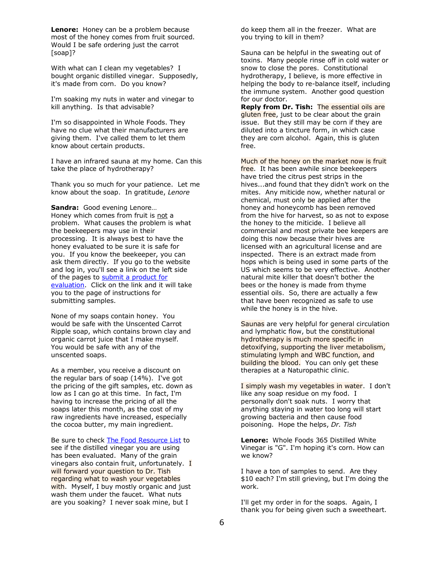**Lenore:** Honey can be a problem because most of the honey comes from fruit sourced. Would I be safe ordering just the carrot [soap]?

With what can I clean my vegetables? I bought organic distilled vinegar. Supposedly, it's made from corn. Do you know?

I'm soaking my nuts in water and vinegar to kill anything. Is that advisable?

I'm so disappointed in Whole Foods. They have no clue what their manufacturers are giving them. I've called them to let them know about certain products.

I have an infrared sauna at my home. Can this take the place of hydrotherapy?

Thank you so much for your patience. Let me know about the soap. In gratitude, *Lenore*

**Sandra:** Good evening Lenore… Honey which comes from fruit is not a problem. What causes the problem is what the beekeepers may use in their processing. It is always best to have the honey evaluated to be sure it is safe for you. If you know the beekeeper, you can ask them directly. If you go to the website and log in, you'll see a link on the left side of the pages to submit a product for [evaluation.](http://www.songofhealth.com/subscribers/carrolltest.html) Click on the link and it will take you to the page of instructions for submitting samples.

None of my soaps contain honey. You would be safe with the Unscented Carrot Ripple soap, which contains brown clay and organic carrot juice that I make myself. You would be safe with any of the unscented soaps.

As a member, you receive a discount on the regular bars of soap (14%). I've got the pricing of the gift samples, etc. down as low as I can go at this time. In fact, I'm having to increase the pricing of all the soaps later this month, as the cost of my raw ingredients have increased, especially the cocoa butter, my main ingredient.

Be sure to check [The Food Resource List](http://www.songofhealth.com/subscribers/foodresources/intro.html) to see if the distilled vinegar you are using has been evaluated. Many of the grain vinegars also contain fruit, unfortunately.  $I$ will forward your question to Dr. Tish regarding what to wash your vegetables with. Myself, I buy mostly organic and just wash them under the faucet. What nuts are you soaking? I never soak mine, but I

do keep them all in the freezer. What are you trying to kill in them?

Sauna can be helpful in the sweating out of toxins. Many people rinse off in cold water or snow to close the pores. Constitutional hydrotherapy, I believe, is more effective in helping the body to re-balance itself, including the immune system. Another good question for our doctor.

**Reply from Dr. Tish:** The essential oils are gluten free, just to be clear about the grain issue. But they still may be corn if they are diluted into a tincture form, in which case they are corn alcohol. Again, this is gluten free.

Much of the honey on the market now is fruit free. It has been awhile since beekeepers have tried the citrus pest strips in the hives...and found that they didn't work on the mites. Any miticide now, whether natural or chemical, must only be applied after the honey and honeycomb has been removed from the hive for harvest, so as not to expose the honey to the miticide. I believe all commercial and most private bee keepers are doing this now because their hives are licensed with an agricultural license and are inspected. There is an extract made from hops which is being used in some parts of the US which seems to be very effective. Another natural mite killer that doesn't bother the bees or the honey is made from thyme essential oils. So, there are actually a few that have been recognized as safe to use while the honey is in the hive.

Saunas are very helpful for general circulation and lymphatic flow, but the **constitutional** hydrotherapy is much more specific in detoxifying, supporting the liver metabolism, stimulating lymph and WBC function, and building the blood. You can only get these therapies at a Naturopathic clinic.

I simply wash my vegetables in water. I don't like any soap residue on my food. I personally don't soak nuts. I worry that anything staying in water too long will start growing bacteria and then cause food poisoning. Hope the helps, *Dr. Tish*

**Lenore:** Whole Foods 365 Distilled White Vinegar is "G". I'm hoping it's corn. How can we know?

I have a ton of samples to send. Are they \$10 each? I'm still grieving, but I'm doing the work.

I'll get my order in for the soaps. Again, I thank you for being given such a sweetheart.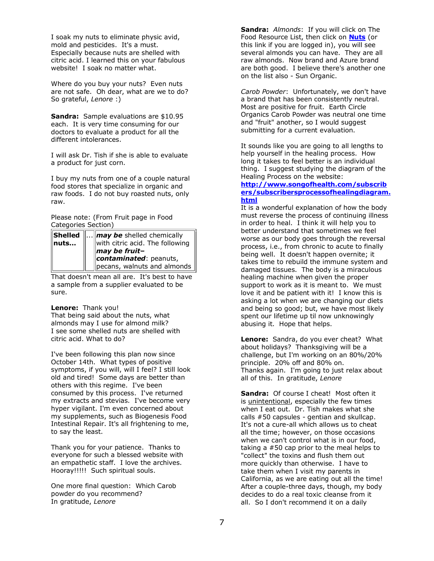I soak my nuts to eliminate physic avid, mold and pesticides. It's a must. Especially because nuts are shelled with citric acid. I learned this on your fabulous website! I soak no matter what.

Where do you buy your nuts? Even nuts are not safe. Oh dear, what are we to do? So grateful, *Lenore* :)

**Sandra:** Sample evaluations are \$10.95 each. It is very time consuming for our doctors to evaluate a product for all the different intolerances.

I will ask Dr. Tish if she is able to evaluate a product for just corn.

I buy my nuts from one of a couple natural food stores that specialize in organic and raw foods. I do not buy roasted nuts, only raw.

Please note: (From Fruit page in Food Categories Section)

|  |  | <b>Shelled</b> $\  \ldots \ $ may be shelled chemically nuts<br>$\parallel$ may be fruit- |
|--|--|-------------------------------------------------------------------------------------------|
|  |  | contaminated: peanuts,<br>pecans, walnuts and almonds                                     |

That doesn't mean all are. It's best to have a sample from a supplier evaluated to be sure.

#### **Lenore:** Thank you!

That being said about the nuts, what almonds may I use for almond milk? I see some shelled nuts are shelled with citric acid. What to do?

I've been following this plan now since October 14th. What types of positive symptoms, if you will, will I feel? I still look old and tired! Some days are better than others with this regime. I've been consumed by this process. I've returned my extracts and stevias. I've become very hyper vigilant. I'm even concerned about my supplements, such as Biogenesis Food Intestinal Repair. It's all frightening to me, to say the least.

Thank you for your patience. Thanks to everyone for such a blessed website with an empathetic staff. I love the archives. Hooray!!!!! Such spiritual souls.

One more final question: Which Carob powder do you recommend? In gratitude, *Lenore* 

**Sandra:** *Almonds*: If you will click on The Food Resource List, then click on **[Nuts](http://www.songofhealth.com/subscribers/foodresources/resource5.html#nuts)** (or this link if you are logged in), you will see several almonds you can have. They are all raw almonds. Now brand and Azure brand are both good. I believe there's another one on the list also - Sun Organic.

*Carob Powder*: Unfortunately, we don't have a brand that has been consistently neutral. Most are positive for fruit. Earth Circle Organics Carob Powder was neutral one time and "fruit" another, so I would suggest submitting for a current evaluation.

It sounds like you are going to all lengths to help yourself in the healing process. How long it takes to feel better is an individual thing. I suggest studying the diagram of the Healing Process on the website:

#### **[http://www.songofhealth.com/subscrib](http://www.songofhealth.com/subscribers/subscribersprocessofhealingdiagram.html) [ers/subscribersprocessofhealingdiagram.](http://www.songofhealth.com/subscribers/subscribersprocessofhealingdiagram.html) [html](http://www.songofhealth.com/subscribers/subscribersprocessofhealingdiagram.html)**

It is a wonderful explanation of how the body must reverse the process of continuing illness in order to heal. I think it will help you to better understand that sometimes we feel worse as our body goes through the reversal process, i.e., from chronic to acute to finally being well. It doesn't happen overnite; it takes time to rebuild the immune system and damaged tissues. The body is a miraculous healing machine when given the proper support to work as it is meant to. We must love it and be patient with it! I know this is asking a lot when we are changing our diets and being so good; but, we have most likely spent our lifetime up til now unknowingly abusing it. Hope that helps.

**Lenore:** Sandra, do you ever cheat? What about holidays? Thanksgiving will be a challenge, but I'm working on an 80%/20% principle. 20% off and 80% on. Thanks again. I'm going to just relax about all of this. In gratitude, *Lenore* 

**Sandra:** Of course I cheat! Most often it is unintentional, especially the few times when I eat out. Dr. Tish makes what she calls #50 capsules - gentian and skullcap. It's not a cure-all which allows us to cheat all the time; however, on those occasions when we can't control what is in our food, taking a #50 cap prior to the meal helps to "collect" the toxins and flush them out more quickly than otherwise. I have to take them when I visit my parents in California, as we are eating out all the time! After a couple-three days, though, my body decides to do a real toxic cleanse from it all. So I don't recommend it on a daily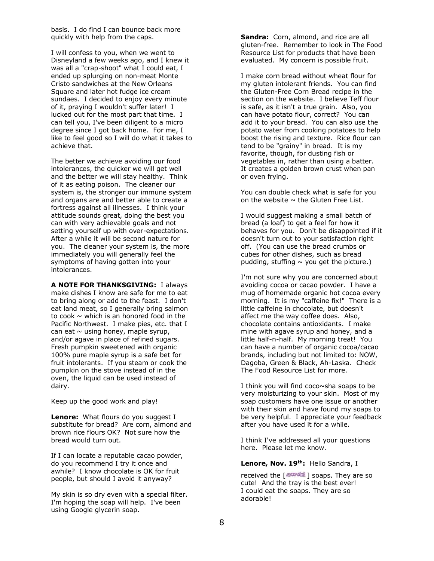basis. I do find I can bounce back more quickly with help from the caps.

I will confess to you, when we went to Disneyland a few weeks ago, and I knew it was all a "crap-shoot" what I could eat, I ended up splurging on non-meat Monte Cristo sandwiches at the New Orleans Square and later hot fudge ice cream sundaes. I decided to enjoy every minute of it, praying I wouldn't suffer later! I lucked out for the most part that time. I can tell you, I've been diligent to a micro degree since I got back home. For me, I like to feel good so I will do what it takes to achieve that.

The better we achieve avoiding our food intolerances, the quicker we will get well and the better we will stay healthy. Think of it as eating poison. The cleaner our system is, the stronger our immune system and organs are and better able to create a fortress against all illnesses. I think your attitude sounds great, doing the best you can with very achievable goals and not setting yourself up with over-expectations. After a while it will be second nature for you. The cleaner your system is, the more immediately you will generally feel the symptoms of having gotten into your intolerances.

**A NOTE FOR THANKSGIVING:** I always make dishes I know are safe for me to eat to bring along or add to the feast. I don't eat land meat, so I generally bring salmon to cook  $\sim$  which is an honored food in the Pacific Northwest. I make pies, etc. that I can eat  $\sim$  using honey, maple syrup, and/or agave in place of refined sugars. Fresh pumpkin sweetened with organic 100% pure maple syrup is a safe bet for fruit intolerants. If you steam or cook the pumpkin on the stove instead of in the oven, the liquid can be used instead of dairy.

Keep up the good work and play!

**Lenore:** What flours do you suggest I substitute for bread? Are corn, almond and brown rice flours OK? Not sure how the bread would turn out.

If I can locate a reputable cacao powder, do you recommend I try it once and awhile? I know chocolate is OK for fruit people, but should I avoid it anyway?

My skin is so dry even with a special filter. I'm hoping the soap will help. I've been using Google glycerin soap.

**Sandra:** Corn, almond, and rice are all gluten-free. Remember to look in The Food Resource List for products that have been evaluated. My concern is possible fruit.

I make corn bread without wheat flour for my gluten intolerant friends. You can find the Gluten-Free Corn Bread recipe in the section on the website. I believe Teff flour is safe, as it isn't a true grain. Also, you can have potato flour, correct? You can add it to your bread. You can also use the potato water from cooking potatoes to help boost the rising and texture. Rice flour can tend to be "grainy" in bread. It is my favorite, though, for dusting fish or vegetables in, rather than using a batter. It creates a golden brown crust when pan or oven frying.

You can double check what is safe for you on the website  $\sim$  the Gluten Free List.

I would suggest making a small batch of bread (a loaf) to get a feel for how it behaves for you. Don't be disappointed if it doesn't turn out to your satisfaction right off. (You can use the bread crumbs or cubes for other dishes, such as bread pudding, stuffing  $\sim$  you get the picture.)

I'm not sure why you are concerned about avoiding cocoa or cacao powder. I have a mug of homemade organic hot cocoa every morning. It is my "caffeine fix!" There is a little caffeine in chocolate, but doesn't affect me the way coffee does. Also, chocolate contains antioxidants. I make mine with agave syrup and honey, and a little half-n-half. My morning treat! You can have a number of organic cocoa/cacao brands, including but not limited to: NOW, Dagoba, Green & Black, Ah-Laska. Check The Food Resource List for more.

I think you will find coco~sha soaps to be very moisturizing to your skin. Most of my soap customers have one issue or another with their skin and have found my soaps to be very helpful. I appreciate your feedback after you have used it for a while.

I think I've addressed all your questions here. Please let me know.

**Lenore, Nov. 19th:** Hello Sandra, I

received the  $\lceil \frac{\text{cosom-} \text{sinh}}{2} \rceil$  soaps. They are so cute! And the tray is the best ever! I could eat the soaps. They are so adorable!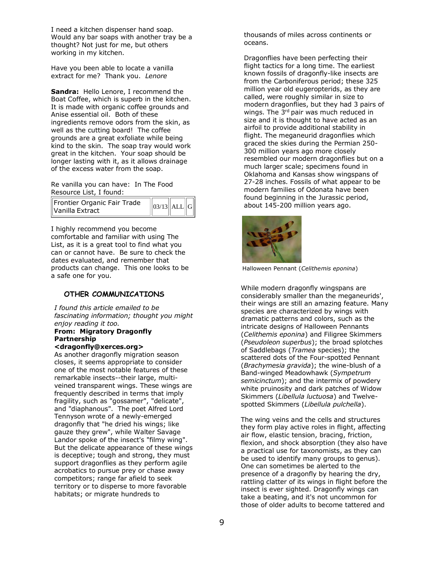I need a kitchen dispenser hand soap. Would any bar soaps with another tray be a thought? Not just for me, but others working in my kitchen.

Have you been able to locate a vanilla extract for me? Thank you. *Lenore*

**Sandra:** Hello Lenore, I recommend the Boat Coffee, which is superb in the kitchen. It is made with organic coffee grounds and Anise essential oil. Both of these ingredients remove odors from the skin, as well as the cutting board! The coffee grounds are a great exfoliate while being kind to the skin. The soap tray would work great in the kitchen. Your soap should be longer lasting with it, as it allows drainage of the excess water from the soap.

Re vanilla you can have: In The Food Resource List, I found:

| Frontier Organic Fair Trade<br>$\parallel$ Vanilla Extract | $\ 03/13\ $ ALL $\ G\ $ |  |  |
|------------------------------------------------------------|-------------------------|--|--|
|------------------------------------------------------------|-------------------------|--|--|

I highly recommend you become comfortable and familiar with using The List, as it is a great tool to find what you can or cannot have. Be sure to check the dates evaluated, and remember that products can change. This one looks to be a safe one for you.

#### **OTHER COMMUNICATIONS**

*I found this article emailed to be fascinating information; thought you might enjoy reading it too.* **From: Migratory Dragonfly Partnership** 

#### **<dragonfly@xerces.org>**

As another dragonfly migration season closes, it seems appropriate to consider one of the most notable features of these remarkable insects--their large, multiveined transparent wings. These wings are frequently described in terms that imply fragility, such as "gossamer", "delicate", and "diaphanous". The poet Alfred Lord Tennyson wrote of a newly-emerged dragonfly that "he dried his wings; like gauze they grew", while Walter Savage Landor spoke of the insect's "filmy wing". But the delicate appearance of these wings is deceptive; tough and strong, they must support dragonflies as they perform agile acrobatics to pursue prey or chase away competitors; range far afield to seek territory or to disperse to more favorable habitats; or migrate hundreds to

thousands of miles across continents or oceans.

Dragonflies have been perfecting their flight tactics for a long time. The earliest known fossils of dragonfly-like insects are from the Carboniferous period; these 325 million year old eugeropterids, as they are called, were roughly similar in size to modern dragonflies, but they had 3 pairs of wings. The 3<sup>rd</sup> pair was much reduced in size and it is thought to have acted as an airfoil to provide additional stability in flight. The meganeurid dragonflies which graced the skies during the Permian 250- 300 million years ago more closely resembled our modern dragonflies but on a much larger scale; specimens found in Oklahoma and Kansas show wingspans of 27-28 inches. Fossils of what appear to be modern families of Odonata have been found beginning in the Jurassic period, about 145-200 million years ago.



Halloween Pennant (*Celithemis eponina*)

While modern dragonfly wingspans are considerably smaller than the meganeurids', their wings are still an amazing feature. Many species are characterized by wings with dramatic patterns and colors, such as the intricate designs of Halloween Pennants (*Celithemis eponina*) and Filigree Skimmers (*Pseudoleon superbus*); the broad splotches of Saddlebags (*Tramea* species); the scattered dots of the Four-spotted Pennant (*Brachymesia gravida*); the wine-blush of a Band-winged Meadowhawk (*Sympetrum semicinctum*); and the intermix of powdery white pruinosity and dark patches of Widow Skimmers (*Libellula luctuosa*) and Twelvespotted Skimmers (*Libellula pulchella*).

The wing veins and the cells and structures they form play active roles in flight, affecting air flow, elastic tension, bracing, friction, flexion, and shock absorption (they also have a practical use for taxonomists, as they can be used to identify many groups to genus). One can sometimes be alerted to the presence of a dragonfly by hearing the dry, rattling clatter of its wings in flight before the insect is ever sighted. Dragonfly wings can take a beating, and it's not uncommon for those of older adults to become tattered and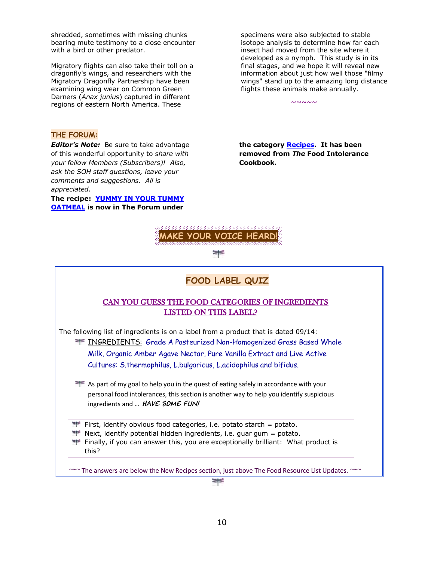shredded, sometimes with missing chunks bearing mute testimony to a close encounter with a bird or other predator.

Migratory flights can also take their toll on a dragonfly's wings, and researchers with the Migratory Dragonfly Partnership have been examining wing wear on Common Green Darners (*Anax junius*) captured in different regions of eastern North America. These

specimens were also subjected to stable isotope analysis to determine how far each insect had moved from the site where it developed as a nymph. This study is in its final stages, and we hope it will reveal new information about just how well those "filmy wings" stand up to the amazing long distance flights these animals make annually.

 $~\sim\sim\sim\sim\sim$ 

#### **THE FORUM:**

*Editor's Note:* Be sure to take advantage of this wonderful opportunity to s*hare with your fellow Members (Subscribers)! Also, ask the SOH staff questions, leave your comments and suggestions. All is appreciated.* 

#### **The recipe: [YUMMY IN YOUR TUMMY](http://www.songofhealth.com/cgi/forum/mf_browse.pl?Com=thread&Category=a01xF166&Thread=5a45vs7)  [OATMEAL](http://www.songofhealth.com/cgi/forum/mf_browse.pl?Com=thread&Category=a01xF166&Thread=5a45vs7) is now in The Forum under**

**the category [Recipes.](http://www.songofhealth.com/cgi/forum/mf_browse.pl?Com=category&Category=a01xF166) It has been removed from** *The* **Food Intolerance Cookbook.** 



⋡

## **FOOD LABEL QUIZ**

#### CAN YOU GUESS THE FOOD CATEGORIES OF INGREDIENTS LISTED ON THIS LABEL?

The following list of ingredients is on a label from a product that is dated 09/14:

**INGREDIENTS:** Grade A Pasteurized Non-Homogenized Grass Based Whole Milk, Organic Amber Agave Nectar, Pure Vanilla Extract and Live Active Cultures: S.thermophilus, L.bulgaricus, L.acidophilus and bifidus.

As part of my goal to help you in the quest of eating safely in accordance with your personal food intolerances, this section is another way to help you identify suspicious ingredients and … **HAVE SOME FUN!**

First, identify obvious food categories, i.e. potato starch = potato.

 $\blacktriangleright$  Next, identify potential hidden ingredients, i.e. guar gum = potato.

Finally, if you can answer this, you are exceptionally brilliant: What product is this?

~~~ The answers are below the New Recipes section, just above The Food Resource List Updates. *~~~*

≋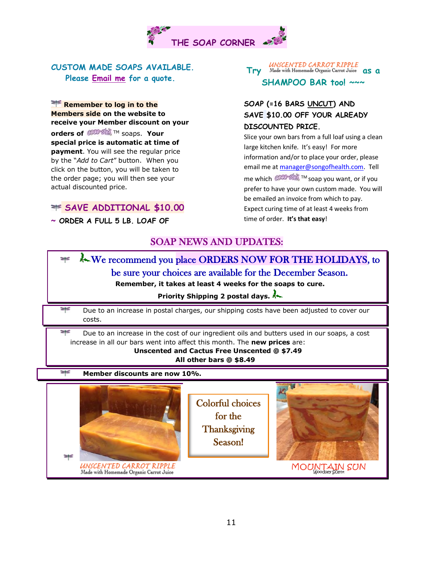

## **CUSTOM MADE SOAPS AVAILABLE. Please [Email me](mailto:manager@songofhealth.com) for a quote.**

**Remember to log in to the Members side on the website to receive your Member discount on your** 

**orders of COOPSING** TM soaps. **Your special price is automatic at time of payment**. You will see the regular price by the "*Add to Cart*" button. When you click on the button, you will be taken to the order page; you will then see your actual discounted price.

## **SAVE ADDITIONAL \$10.00**

**~ ORDER A FULL 5 LB. LOAF OF** 

# **Try** Made with Homemade Organic Carrot Juice **as a SHAMPOO BAR too! ~~~**

## **SOAP (=16 BARS UNCUT) AND SAVE \$10.00 OFF YOUR ALREADY DISCOUNTED PRICE.**

Slice your own bars from a full loaf using a clean large kitchen knife. It's easy! For more information and/or to place your order, please email me a[t manager@songofhealth.com.](mailto:manager@songofhealth.com) Tell me which <sup>COCO-S</sup> ™ soap you want, or if you prefer to have your own custom made. You will be emailed an invoice from which to pay. Expect curing time of at least 4 weeks from time of order. **It's that easy**!

## SOAP NEWS AND UPDATES:

## We recommend you place ORDERS NOW FOR THE HOLIDAYS, to ₩ be sure your choices are available for the December Season. **Remember, it takes at least 4 weeks for the soaps to cure. Priority Shipping 2 postal days.** ₩ Due to an increase in postal charges, our shipping costs have been adjusted to cover our costs. ≥⊧≤ Due to an increase in the cost of our ingredient oils and butters used in our soaps, a cost increase in all our bars went into affect this month. The **new prices** are: **Unscented and Cactus Free Unscented @ \$7.49 All other bars @ \$8.49** ≍⊧≤ **Member discounts are now 10%.**  Colorful choices for the **Thanksgiving** Season! ≍≤ UNSCENTED CARROT RIPPLE MOUNTAIN SUN Made with Homemade Organic Carrot Juice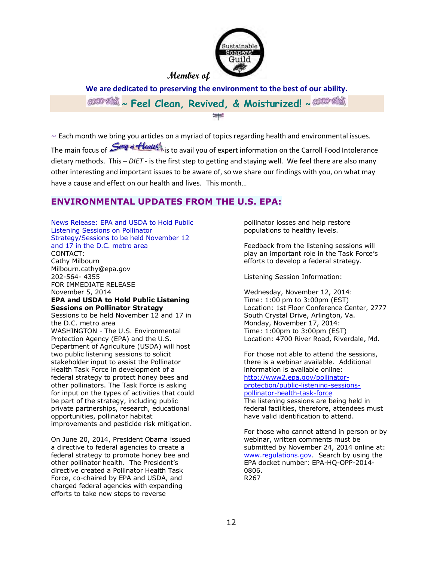

**Member of**

**We are dedicated to preserving the environment to the best of our ability. ~ Feel Clean, Revived, & Moisturized! ~** ≋

 $\sim$  Each month we bring you articles on a myriad of topics regarding health and environmental issues. The main focus of *Song* & **fleatet** is to avail you of expert information on the Carroll Food Intolerance dietary methods. This – *DIET* - is the first step to getting and staying well. We feel there are also many other interesting and important issues to be aware of, so we share our findings with you, on what may have a cause and effect on our health and lives. This month…

## **ENVIRONMENTAL UPDATES FROM THE U.S. EPA:**

News Release: EPA and USDA to Hold Public Listening Sessions on Pollinator Strategy/Sessions to be held November 12 and 17 in the D.C. metro area CONTACT: Cathy Milbourn Milbourn.cathy@epa.gov 202-564- 4355 FOR IMMEDIATE RELEASE November 5, 2014 **EPA and USDA to Hold Public Listening Sessions on Pollinator Strategy** Sessions to be held November 12 and 17 in the D.C. metro area WASHINGTON - The U.S. Environmental Protection Agency (EPA) and the U.S. Department of Agriculture (USDA) will host two public listening sessions to solicit stakeholder input to assist the Pollinator Health Task Force in development of a federal strategy to protect honey bees and other pollinators. The Task Force is asking for input on the types of activities that could be part of the strategy, including public private partnerships, research, educational opportunities, pollinator habitat improvements and pesticide risk mitigation.

On June 20, 2014, President Obama issued a directive to federal agencies to create a federal strategy to promote honey bee and other pollinator health. The President's directive created a Pollinator Health Task Force, co-chaired by EPA and USDA, and charged federal agencies with expanding efforts to take new steps to reverse

pollinator losses and help restore populations to healthy levels.

Feedback from the listening sessions will play an important role in the Task Force's efforts to develop a federal strategy.

Listening Session Information:

Wednesday, November 12, 2014: Time: 1:00 pm to 3:00pm (EST) Location: 1st Floor Conference Center, 2777 South Crystal Drive, Arlington, Va. Monday, November 17, 2014: Time: 1:00pm to 3:00pm (EST) Location: 4700 River Road, Riverdale, Md.

For those not able to attend the sessions, there is a webinar available. Additional information is available online: [http://www2.epa.gov/pollinator](http://www2.epa.gov/pollinator-protection/public-listening-sessions-pollinator-health-task-force)[protection/public-listening-sessions](http://www2.epa.gov/pollinator-protection/public-listening-sessions-pollinator-health-task-force)[pollinator-health-task-force](http://www2.epa.gov/pollinator-protection/public-listening-sessions-pollinator-health-task-force) The listening sessions are being held in federal facilities, therefore, attendees must have valid identification to attend.

For those who cannot attend in person or by webinar, written comments must be submitted by November 24, 2014 online at: [www.regulations.gov.](file:///C:/Users/owner/Documents/SONG%20OF%20HEALTH/NEWSLETTERS/www.regulations.gov) Search by using the EPA docket number: EPA-HQ-OPP-2014- 0806. R267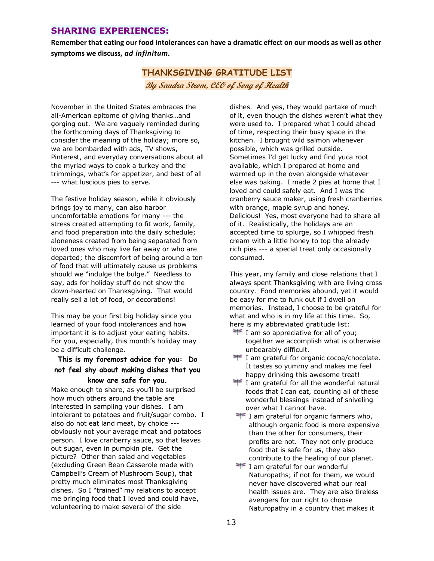## **SHARING EXPERIENCES:**

**Remember that eating our food intolerances can have a dramatic effect on our moods as well as other symptoms we discuss,** *ad infinitum.* 

# **THANKSGIVING GRATITUDE LIST By Sandra Strom, CEO of Song of Health**

November in the United States embraces the all-American epitome of giving thanks…and gorging out. We are vaguely reminded during the forthcoming days of Thanksgiving to consider the meaning of the holiday; more so, we are bombarded with ads, TV shows, Pinterest, and everyday conversations about all the myriad ways to cook a turkey and the trimmings, what's for appetizer, and best of all --- what luscious pies to serve.

The festive holiday season, while it obviously brings joy to many, can also harbor uncomfortable emotions for many --- the stress created attempting to fit work, family, and food preparation into the daily schedule; aloneness created from being separated from loved ones who may live far away or who are departed; the discomfort of being around a ton of food that will ultimately cause us problems should we "indulge the bulge." Needless to say, ads for holiday stuff do not show the down-hearted on Thanksgiving. That would really sell a lot of food, or decorations!

This may be your first big holiday since you learned of your food intolerances and how important it is to adjust your eating habits. For you, especially, this month's holiday may be a difficult challenge.

### **This is my foremost advice for you: Do not feel shy about making dishes that you know are safe for you.**

Make enough to share, as you'll be surprised how much others around the table are interested in sampling your dishes. I am intolerant to potatoes and fruit/sugar combo. I also do not eat land meat, by choice -- obviously not your average meat and potatoes person. I love cranberry sauce, so that leaves out sugar, even in pumpkin pie. Get the picture? Other than salad and vegetables (excluding Green Bean Casserole made with Campbell's Cream of Mushroom Soup), that pretty much eliminates most Thanksgiving dishes. So I "trained" my relations to accept me bringing food that I loved and could have, volunteering to make several of the side

dishes. And yes, they would partake of much of it, even though the dishes weren't what they were used to. I prepared what I could ahead of time, respecting their busy space in the kitchen. I brought wild salmon whenever possible, which was grilled outside. Sometimes I'd get lucky and find yuca root available, which I prepared at home and warmed up in the oven alongside whatever else was baking. I made 2 pies at home that I loved and could safely eat. And I was the cranberry sauce maker, using fresh cranberries with orange, maple syrup and honey. Delicious! Yes, most everyone had to share all of it. Realistically, the holidays are an accepted time to splurge, so I whipped fresh cream with a little honey to top the already rich pies --- a special treat only occasionally consumed.

This year, my family and close relations that I always spent Thanksgiving with are living cross country. Fond memories abound, yet it would be easy for me to funk out if I dwell on memories. Instead, I choose to be grateful for what and who is in my life at this time. So, here is my abbreviated gratitude list:

- $\equiv$  I am so appreciative for all of you; together we accomplish what is otherwise unbearably difficult.
- I am grateful for organic cocoa/chocolate. It tastes so yummy and makes me feel happy drinking this awesome treat!
- I am grateful for all the wonderful natural foods that I can eat, counting all of these wonderful blessings instead of sniveling over what I cannot have.
- **I** am grateful for organic farmers who, although organic food is more expensive than the other for consumers, their profits are not. They not only produce food that is safe for us, they also contribute to the healing of our planet.
- **I** I am grateful for our wonderful Naturopaths; if not for them, we would never have discovered what our real health issues are. They are also tireless avengers for our right to choose Naturopathy in a country that makes it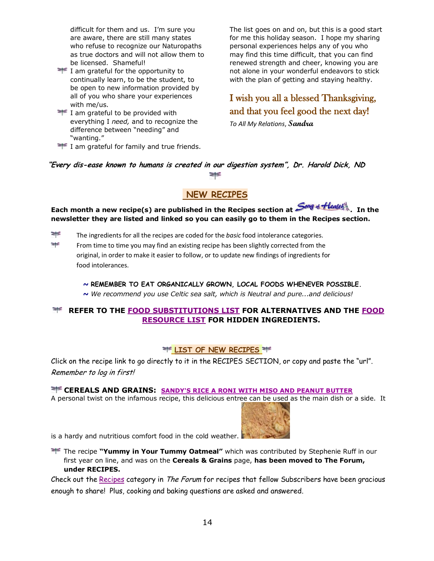difficult for them and us. I'm sure you are aware, there are still many states who refuse to recognize our Naturopaths as true doctors and will not allow them to be licensed. Shameful!

- I am grateful for the opportunity to continually learn, to be the student, to be open to new information provided by all of you who share your experiences with me/us.
- $\equiv$  I am grateful to be provided with everything I *need,* and to recognize the difference between "needing" and "wanting."

 $\equiv$  I am grateful for family and true friends.

The list goes on and on, but this is a good start for me this holiday season. I hope my sharing personal experiences helps any of you who may find this time difficult, that you can find renewed strength and cheer, knowing you are not alone in your wonderful endeavors to stick with the plan of getting and staying healthy.

# I wish you all a blessed Thanksgiving, and that you feel good the next day!

*To All My Relations*, **Sandra**

#### **"Every dis-ease known to humans is created in our digestion system", Dr. Harold Dick, ND** ₩

## **NEW RECIPES**

Each month a new recipe(s) are published in the Recipes section at  $\frac{\textit{Cong} \cdot \textit{Hleath}}{\textit{Hence}}$ . In the **newsletter they are listed and linked so you can easily go to them in the Recipes section.**

- ≢ The ingredients for all the recipes are coded for the *basic* food intolerance categories.
- ⋡ From time to time you may find an existing recipe has been slightly corrected from the original, in order to make it easier to follow, or to update new findings of ingredients for food intolerances.

## *~* **REMEMBER TO EAT ORGANICALLY GROWN, LOCAL FOODS WHENEVER POSSIBLE.**

*~ We recommend you use Celtic sea salt, which is Neutral and pure...and delicious!* 

## **REFER TO THE [FOOD SUBSTITUTIONS LIST](http://www.songofhealth.com/subscribers/foodresources/foodsub.html) FOR ALTERNATIVES AND THE [FOOD](http://www.songofhealth.com/subscribers/foodresources/intro.html)  [RESOURCE LIST](http://www.songofhealth.com/subscribers/foodresources/intro.html) FOR HIDDEN INGREDIENTS.**

#### **LIST OF NEW RECIPES**

Click on the recipe link to go directly to it in the RECIPES SECTION, or copy and paste the "url". Remember to log in first!

 **CEREALS AND GRAINS: [SANDY'S RICE A RONI WITH MISO AND PEANUT BUTTER](http://www.songofhealth.com/subscribers/recipes/cereals.html#RiceARoni)** A personal twist on the infamous recipe, this delicious entree can be used as the main dish or a side. It



is a hardy and nutritious comfort food in the cold weather.

The recipe **"Yummy in Your Tummy Oatmeal"** which was contributed by Stephenie Ruff in our first year on line, and was on the **Cereals & Grains** page, **has been moved to The Forum, under RECIPES.** 

Check out the [Recipes](http://www.songofhealth.com/cgi/forum/mf_browse.pl?Com=category&Category=a01xF166) category in The Forum for recipes that fellow Subscribers have been gracious enough to share! Plus, cooking and baking questions are asked and answered.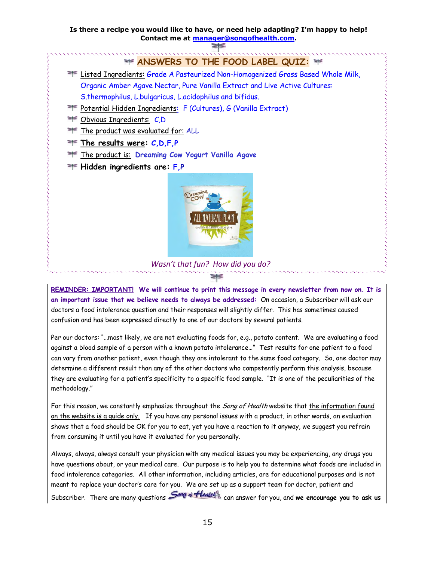#### **Is there a recipe you would like to have, or need help adapting? I'm happy to help! Contact me at [manager@songofhealth.com.](mailto:manager@songofhealth.com)**



**REMINDER: IMPORTANT! We will continue to print this message in every newsletter from now on. It is an important issue that we believe needs to always be addressed:** On occasion, a Subscriber will ask our doctors a food intolerance question and their responses will slightly differ. This has sometimes caused confusion and has been expressed directly to one of our doctors by several patients.

Per our doctors: "…most likely, we are not evaluating foods for, e.g., potato content. We are evaluating a food against a blood sample of a person with a known potato intolerance…" Test results for one patient to a food can vary from another patient, even though they are intolerant to the same food category. So, one doctor may determine a different result than any of the other doctors who competently perform this analysis, because they are evaluating for a patient's specificity to a specific food sample. "It is one of the peculiarities of the methodology."

For this reason, we constantly emphasize throughout the Song of Health website that the information found on the website is a guide only. If you have any personal issues with a product, in other words, an evaluation shows that a food should be OK for you to eat, yet you have a reaction to it anyway, we suggest you refrain from consuming it until you have it evaluated for you personally.

Always, always, always consult your physician with any medical issues you may be experiencing, any drugs you have questions about, or your medical care. Our purpose is to help you to determine what foods are included in food intolerance categories. All other information, including articles, are for educational purposes and is not meant to replace your doctor's care for you. We are set up as a support team for doctor, patient and Subscriber. There are many questions **Song** of **Health** can answer for you, and **we encourage you to ask us**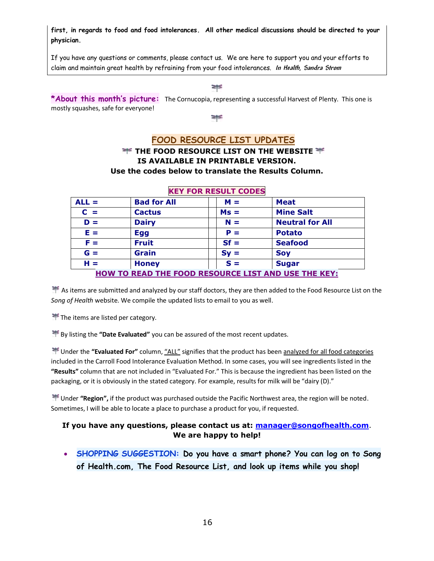**first, in regards to food and food intolerances. All other medical discussions should be directed to your physician.** 

If you have any questions or comments, please contact us. We are here to support you and your efforts to claim and maintain great health by refraining from your food intolerances. **In Health, Sandra Strom**

₩

**\*About this month's picture:** The Cornucopia, representing a successful Harvest of Plenty. This one is mostly squashes, safe for everyone!

≢

### **FOOD RESOURCE LIST UPDATES**

### **THE FOOD RESOURCE LIST ON THE WEBSITE**  $\mathbb{F}$ **IS AVAILABLE IN PRINTABLE VERSION. Use the codes below to translate the Results Column.**

| $ALL =$                                                    | <b>Bad for All</b> | $M =$  | <b>Meat</b>            |  |
|------------------------------------------------------------|--------------------|--------|------------------------|--|
| $C =$                                                      | <b>Cactus</b>      | $Ms =$ | <b>Mine Salt</b>       |  |
| $D =$                                                      | <b>Dairy</b>       | $N =$  | <b>Neutral for All</b> |  |
| $E =$                                                      | <b>Egg</b>         | $P =$  | <b>Potato</b>          |  |
| $F =$                                                      | <b>Fruit</b>       | $Sf =$ | <b>Seafood</b>         |  |
| $G =$                                                      | <b>Grain</b>       | $Sy =$ | <b>Soy</b>             |  |
| $H =$                                                      | <b>Honey</b>       | $S =$  | <b>Sugar</b>           |  |
| <b>HOW TO READ THE FOOD RESOURCE LIST AND USE THE KEY:</b> |                    |        |                        |  |

#### **KEY FOR RESULT CODES**

As items are submitted and analyzed by our staff doctors, they are then added to the Food Resource List on the *Song of Health* website. We compile the updated lists to email to you as well.

The items are listed per category.

By listing the **"Date Evaluated"** you can be assured of the most recent updates.

 Under the **"Evaluated For"** column, "ALL" signifies that the product has been analyzed for all food categories included in the Carroll Food Intolerance Evaluation Method. In some cases, you will see ingredients listed in the **"Results"** column that are not included in "Evaluated For." This is because the ingredient has been listed on the packaging, or it is obviously in the stated category. For example, results for milk will be "dairy (D)."

 Under **"Region",** if the product was purchased outside the Pacific Northwest area, the region will be noted. Sometimes, I will be able to locate a place to purchase a product for you, if requested.

#### **If you have any questions, please contact us at: [manager@songofhealth.com](mailto:manager@songofhealth.com)**. **We are happy to help!**

 **SHOPPING SUGGESTION: Do you have a smart phone? You can log on to Song of Health.com, The Food Resource List, and look up items while you shop!**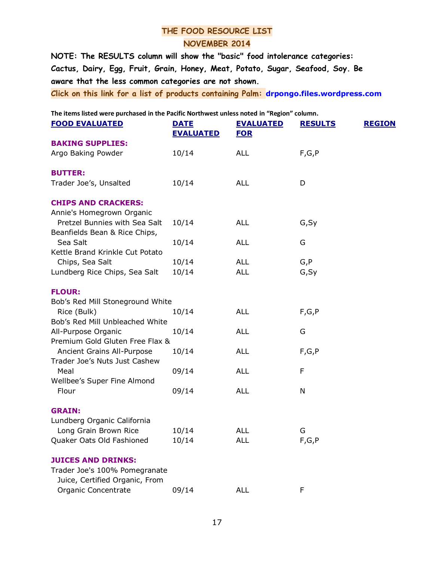## **THE FOOD RESOURCE LIST NOVEMBER 2014**

**NOTE: The RESULTS column will show the "basic" food intolerance categories: Cactus, Dairy, Egg, Fruit, Grain, Honey, Meat, Potato, Sugar, Seafood, Soy. Be aware that the less common categories are not shown.**

**Click on this link for a list of products containing Palm: [drpongo.files.wordpress.com](http://l.facebook.com/l/JAQEykTb2AQH1XF_Qcq4s4cGPRZWyY-zMHc81fd_iAEZilw/drpongo.files.wordpress.com/2012/01/productpalmoillist2012flexweek.pdf)**

**The items listed were purchased in the Pacific Northwest unless noted in "Region" column.** 

| <b>FOOD EVALUATED</b>                                          | <b>DATE</b><br><b>EVALUATED</b> | <b>EVALUATED</b><br><b>FOR</b> | <b>REGION</b><br><b>RESULTS</b> |
|----------------------------------------------------------------|---------------------------------|--------------------------------|---------------------------------|
| <b>BAKING SUPPLIES:</b>                                        |                                 |                                |                                 |
| Argo Baking Powder                                             | 10/14                           | <b>ALL</b>                     | F,G,P                           |
| <b>BUTTER:</b>                                                 |                                 |                                |                                 |
| Trader Joe's, Unsalted                                         | 10/14                           | <b>ALL</b>                     | D                               |
| <b>CHIPS AND CRACKERS:</b>                                     |                                 |                                |                                 |
| Annie's Homegrown Organic                                      |                                 |                                |                                 |
| Pretzel Bunnies with Sea Salt<br>Beanfields Bean & Rice Chips, | 10/14                           | <b>ALL</b>                     | G, Sy                           |
| Sea Salt                                                       | 10/14                           | <b>ALL</b>                     | G                               |
| Kettle Brand Krinkle Cut Potato                                |                                 |                                |                                 |
| Chips, Sea Salt                                                | 10/14                           | <b>ALL</b>                     | G, P                            |
| Lundberg Rice Chips, Sea Salt                                  | 10/14                           | <b>ALL</b>                     | G, Sy                           |
| <b>FLOUR:</b>                                                  |                                 |                                |                                 |
| Bob's Red Mill Stoneground White                               |                                 |                                |                                 |
| Rice (Bulk)                                                    | 10/14                           | <b>ALL</b>                     | F, G, P                         |
| Bob's Red Mill Unbleached White                                |                                 |                                |                                 |
| All-Purpose Organic                                            | 10/14                           | <b>ALL</b>                     | G                               |
| Premium Gold Gluten Free Flax &                                |                                 |                                |                                 |
| Ancient Grains All-Purpose                                     | 10/14                           | <b>ALL</b>                     | F,G,P                           |
| Trader Joe's Nuts Just Cashew                                  |                                 |                                |                                 |
| Meal                                                           | 09/14                           | <b>ALL</b>                     | F                               |
| Wellbee's Super Fine Almond                                    |                                 |                                |                                 |
| Flour                                                          | 09/14                           | <b>ALL</b>                     | N                               |
| <b>GRAIN:</b>                                                  |                                 |                                |                                 |
| Lundberg Organic California                                    |                                 |                                |                                 |
| Long Grain Brown Rice                                          | 10/14                           | ALL                            | G                               |
| Quaker Oats Old Fashioned                                      | 10/14                           | <b>ALL</b>                     | F, G, P                         |
| <b>JUICES AND DRINKS:</b>                                      |                                 |                                |                                 |
| Trader Joe's 100% Pomegranate                                  |                                 |                                |                                 |
| Juice, Certified Organic, From                                 |                                 |                                |                                 |
| Organic Concentrate                                            | 09/14                           | <b>ALL</b>                     | F                               |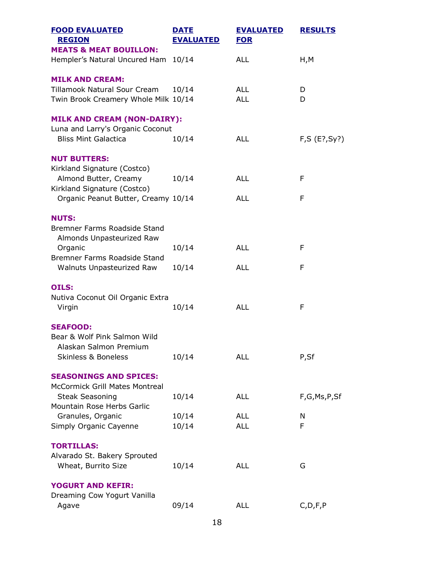| <b>FOOD EVALUATED</b><br><b>REGION</b>                                 | <b>DATE</b><br><b>EVALUATED</b> | <b>EVALUATED</b><br><b>FOR</b> | <b>RESULTS</b> |  |
|------------------------------------------------------------------------|---------------------------------|--------------------------------|----------------|--|
| <b>MEATS &amp; MEAT BOUILLON:</b>                                      |                                 |                                |                |  |
| Hempler's Natural Uncured Ham 10/14                                    |                                 | <b>ALL</b>                     | H, M           |  |
| <b>MILK AND CREAM:</b>                                                 |                                 |                                |                |  |
| Tillamook Natural Sour Cream                                           | 10/14                           | <b>ALL</b>                     | D              |  |
| Twin Brook Creamery Whole Milk 10/14                                   |                                 | <b>ALL</b>                     | D              |  |
| <b>MILK AND CREAM (NON-DAIRY):</b><br>Luna and Larry's Organic Coconut |                                 |                                |                |  |
| <b>Bliss Mint Galactica</b>                                            | 10/14                           | <b>ALL</b>                     | F, S (E?, Sy?) |  |
| <b>NUT BUTTERS:</b><br>Kirkland Signature (Costco)                     |                                 |                                |                |  |
| Almond Butter, Creamy<br>Kirkland Signature (Costco)                   | 10/14                           | <b>ALL</b>                     | F              |  |
| Organic Peanut Butter, Creamy 10/14                                    |                                 | <b>ALL</b>                     | F              |  |
| <b>NUTS:</b>                                                           |                                 |                                |                |  |
| Bremner Farms Roadside Stand<br>Almonds Unpasteurized Raw              |                                 |                                |                |  |
| Organic                                                                | 10/14                           | <b>ALL</b>                     | F              |  |
| Bremner Farms Roadside Stand<br>Walnuts Unpasteurized Raw              | 10/14                           | <b>ALL</b>                     | F              |  |
|                                                                        |                                 |                                |                |  |
| <b>OILS:</b><br>Nutiva Coconut Oil Organic Extra                       |                                 |                                |                |  |
| Virgin                                                                 | 10/14                           | <b>ALL</b>                     | F              |  |
| <b>SEAFOOD:</b>                                                        |                                 |                                |                |  |
| Bear & Wolf Pink Salmon Wild<br>Alaskan Salmon Premium                 |                                 |                                |                |  |
| <b>Skinless &amp; Boneless</b>                                         | 10/14                           | <b>ALL</b>                     | P,Sf           |  |
| <b>SEASONINGS AND SPICES:</b><br><b>McCormick Grill Mates Montreal</b> |                                 |                                |                |  |
| <b>Steak Seasoning</b><br>Mountain Rose Herbs Garlic                   | 10/14                           | <b>ALL</b>                     | F,G,Ms,P,Sf    |  |
| Granules, Organic                                                      | 10/14                           | <b>ALL</b>                     | N              |  |
| Simply Organic Cayenne                                                 | 10/14                           | <b>ALL</b>                     | F              |  |
| <b>TORTILLAS:</b>                                                      |                                 |                                |                |  |
| Alvarado St. Bakery Sprouted                                           |                                 |                                |                |  |
| Wheat, Burrito Size                                                    | 10/14                           | <b>ALL</b>                     | G              |  |
| <b>YOGURT AND KEFIR:</b>                                               |                                 |                                |                |  |
| Dreaming Cow Yogurt Vanilla<br>Agave                                   | 09/14                           | <b>ALL</b>                     | C, D, F, P     |  |
|                                                                        |                                 |                                |                |  |